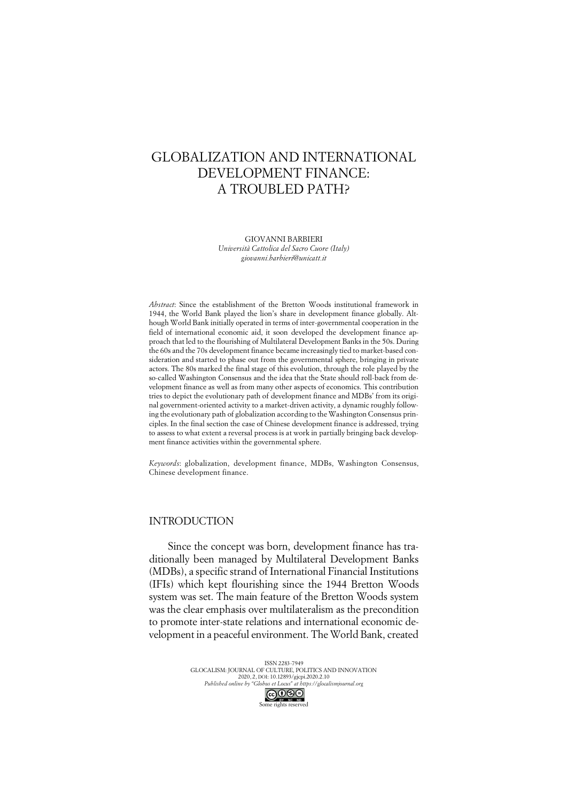# GLOBALIZATION AND INTERNATIONAL DEVELOPMENT FINANCE: A TROUBLED PATH?

GIOVANNI BARBIERI

*Università Cattolica del Sacro Cuore (Italy) giovanni.barbieri@unicatt.it*

*Abstract*: Since the establishment of the Bretton Woods institutional framework in 1944, the World Bank played the lion's share in development finance globally. Although World Bank initially operated in terms of inter-governmental cooperation in the field of international economic aid, it soon developed the development finance approach that led to the flourishing of Multilateral Development Banks in the 50s. During the 60s and the 70s development finance became increasingly tied to market-based consideration and started to phase out from the governmental sphere, bringing in private actors. The 80s marked the final stage of this evolution, through the role played by the so-called Washington Consensus and the idea that the State should roll-back from development finance as well as from many other aspects of economics. This contribution tries to depict the evolutionary path of development finance and MDBs' from its original government-oriented activity to a market-driven activity, a dynamic roughly following the evolutionary path of globalization according to the Washington Consensus principles. In the final section the case of Chinese development finance is addressed, trying to assess to what extent a reversal process is at work in partially bringing back development finance activities within the governmental sphere.

*Keywords*: globalization, development finance, MDBs, Washington Consensus, Chinese development finance.

## INTRODUCTION

Since the concept was born, development finance has traditionally been managed by Multilateral Development Banks (MDBs), a specific strand of International Financial Institutions (IFIs) which kept flourishing since the 1944 Bretton Woods system was set. The main feature of the Bretton Woods system was the clear emphasis over multilateralism as the precondition to promote inter-state relations and international economic development in a peaceful environment. The World Bank, created

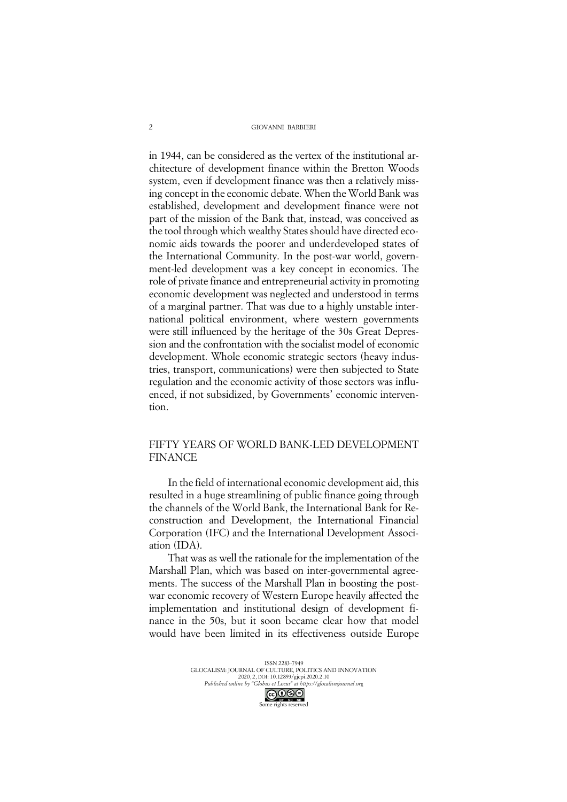in 1944, can be considered as the vertex of the institutional architecture of development finance within the Bretton Woods system, even if development finance was then a relatively missing concept in the economic debate. When the World Bank was established, development and development finance were not part of the mission of the Bank that, instead, was conceived as the tool through which wealthy States should have directed economic aids towards the poorer and underdeveloped states of the International Community. In the post-war world, government-led development was a key concept in economics. The role of private finance and entrepreneurial activity in promoting economic development was neglected and understood in terms of a marginal partner. That was due to a highly unstable international political environment, where western governments were still influenced by the heritage of the 30s Great Depression and the confrontation with the socialist model of economic development. Whole economic strategic sectors (heavy industries, transport, communications) were then subjected to State regulation and the economic activity of those sectors was influenced, if not subsidized, by Governments' economic intervention.

# FIFTY YEARS OF WORLD BANK-LED DEVELOPMENT FINANCE

In the field of international economic development aid, this resulted in a huge streamlining of public finance going through the channels of the World Bank, the International Bank for Reconstruction and Development, the International Financial Corporation (IFC) and the International Development Association (IDA).

That was as well the rationale for the implementation of the Marshall Plan, which was based on inter-governmental agreements. The success of the Marshall Plan in boosting the postwar economic recovery of Western Europe heavily affected the implementation and institutional design of development finance in the 50s, but it soon became clear how that model would have been limited in its effectiveness outside Europe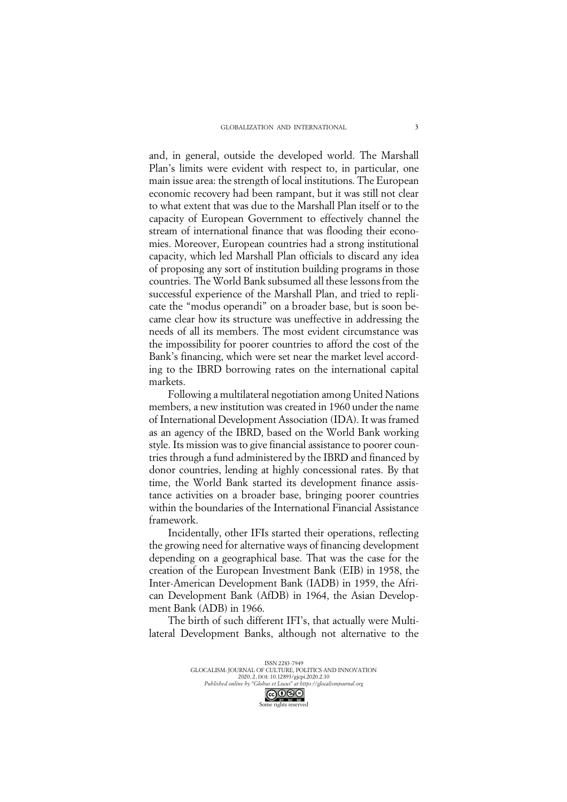and, in general, outside the developed world. The Marshall Plan's limits were evident with respect to, in particular, one main issue area: the strength of local institutions. The European economic recovery had been rampant, but it was still not clear to what extent that was due to the Marshall Plan itself or to the capacity of European Government to effectively channel the stream of international finance that was flooding their economies. Moreover, European countries had a strong institutional capacity, which led Marshall Plan officials to discard any idea of proposing any sort of institution building programs in those countries. The World Bank subsumed all these lessons from the successful experience of the Marshall Plan, and tried to replicate the "modus operandi" on a broader base, but is soon became clear how its structure was uneffective in addressing the needs of all its members. The most evident circumstance was the impossibility for poorer countries to afford the cost of the Bank's financing, which were set near the market level according to the IBRD borrowing rates on the international capital markets.

Following a multilateral negotiation among United Nations members, a new institution was created in 1960 under the name of International Development Association (IDA). It was framed as an agency of the IBRD, based on the World Bank working style. Its mission was to give financial assistance to poorer countries through a fund administered by the IBRD and financed by donor countries, lending at highly concessional rates. By that time, the World Bank started its development finance assistance activities on a broader base, bringing poorer countries within the boundaries of the International Financial Assistance framework.

Incidentally, other IFIs started their operations, reflecting the growing need for alternative ways of financing development depending on a geographical base. That was the case for the creation of the European Investment Bank (EIB) in 1958, the Inter-American Development Bank (IADB) in 1959, the African Development Bank (AfDB) in 1964, the Asian Development Bank (ADB) in 1966.

The birth of such different IFI's, that actually were Multilateral Development Banks, although not alternative to the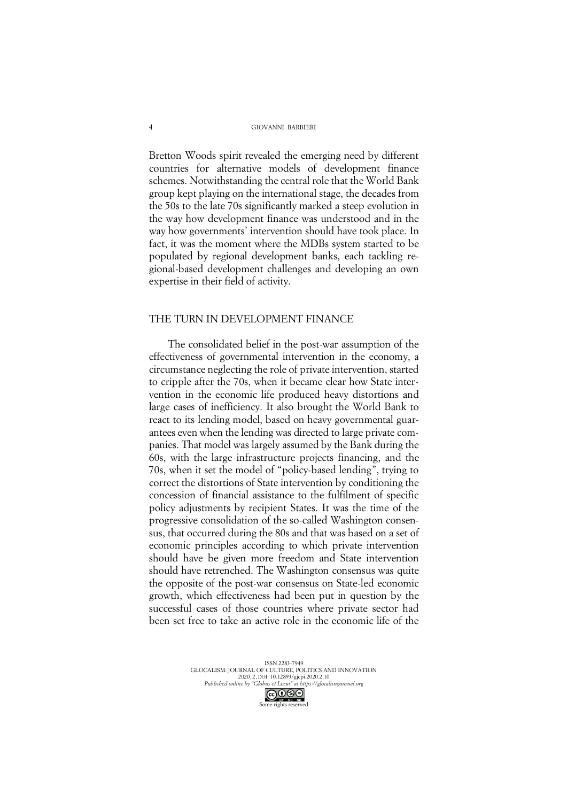Bretton Woods spirit revealed the emerging need by different countries for alternative models of development finance schemes. Notwithstanding the central role that the World Bank group kept playing on the international stage, the decades from the 50s to the late 70s significantly marked a steep evolution in the way how development finance was understood and in the way how governments' intervention should have took place. In fact, it was the moment where the MDBs system started to be populated by regional development banks, each tackling regional-based development challenges and developing an own expertise in their field of activity.

### THE TURN IN DEVELOPMENT FINANCE

The consolidated belief in the post-war assumption of the effectiveness of governmental intervention in the economy, a circumstance neglecting the role of private intervention, started to cripple after the 70s, when it became clear how State intervention in the economic life produced heavy distortions and large cases of inefficiency. It also brought the World Bank to react to its lending model, based on heavy governmental guarantees even when the lending was directed to large private companies. That model was largely assumed by the Bank during the 60s, with the large infrastructure projects financing, and the 70s, when it set the model of "policy-based lending", trying to correct the distortions of State intervention by conditioning the concession of financial assistance to the fulfilment of specific policy adjustments by recipient States. It was the time of the progressive consolidation of the so-called Washington consensus, that occurred during the 80s and that was based on a set of economic principles according to which private intervention should have be given more freedom and State intervention should have retrenched. The Washington consensus was quite the opposite of the post-war consensus on State-led economic growth, which effectiveness had been put in question by the successful cases of those countries where private sector had been set free to take an active role in the economic life of the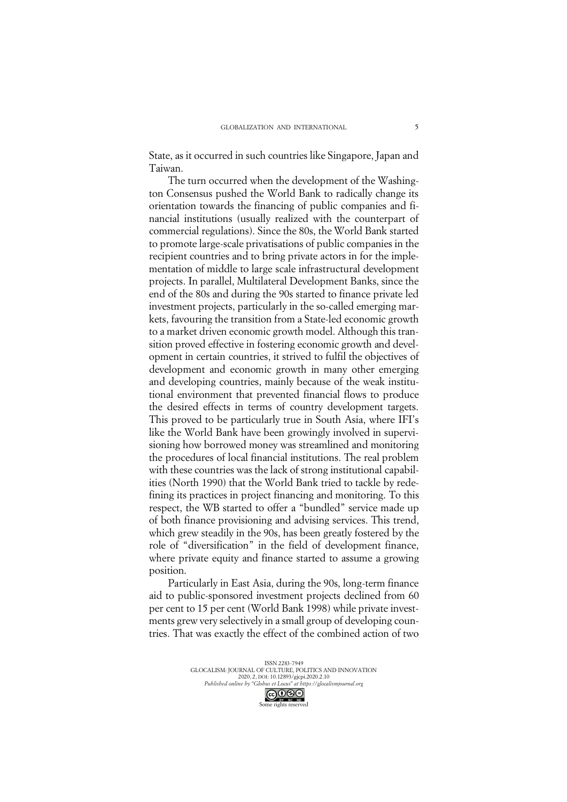State, as it occurred in such countries like Singapore, Japan and Taiwan.

The turn occurred when the development of the Washington Consensus pushed the World Bank to radically change its orientation towards the financing of public companies and financial institutions (usually realized with the counterpart of commercial regulations). Since the 80s, the World Bank started to promote large-scale privatisations of public companies in the recipient countries and to bring private actors in for the implementation of middle to large scale infrastructural development projects. In parallel, Multilateral Development Banks, since the end of the 80s and during the 90s started to finance private led investment projects, particularly in the so-called emerging markets, favouring the transition from a State-led economic growth to a market driven economic growth model. Although this transition proved effective in fostering economic growth and development in certain countries, it strived to fulfil the objectives of development and economic growth in many other emerging and developing countries, mainly because of the weak institutional environment that prevented financial flows to produce the desired effects in terms of country development targets. This proved to be particularly true in South Asia, where IFI's like the World Bank have been growingly involved in supervisioning how borrowed money was streamlined and monitoring the procedures of local financial institutions. The real problem with these countries was the lack of strong institutional capabilities (North 1990) that the World Bank tried to tackle by redefining its practices in project financing and monitoring. To this respect, the WB started to offer a "bundled" service made up of both finance provisioning and advising services. This trend, which grew steadily in the 90s, has been greatly fostered by the role of "diversification" in the field of development finance, where private equity and finance started to assume a growing position.

Particularly in East Asia, during the 90s, long-term finance aid to public-sponsored investment projects declined from 60 per cent to 15 per cent (World Bank 1998) while private investments grew very selectively in a small group of developing countries. That was exactly the effect of the combined action of two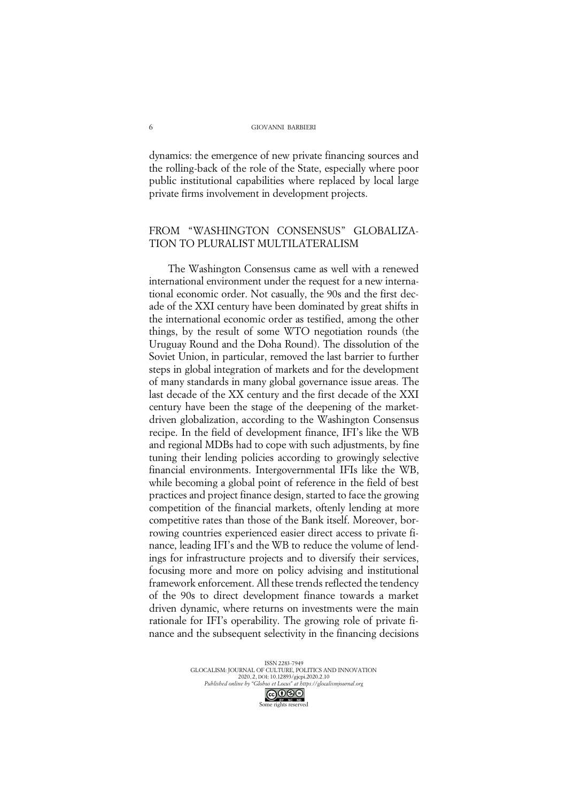dynamics: the emergence of new private financing sources and the rolling-back of the role of the State, especially where poor public institutional capabilities where replaced by local large private firms involvement in development projects.

# FROM "WASHINGTON CONSENSUS" GLOBALIZA-TION TO PLURALIST MULTILATERALISM

The Washington Consensus came as well with a renewed international environment under the request for a new international economic order. Not casually, the 90s and the first decade of the XXI century have been dominated by great shifts in the international economic order as testified, among the other things, by the result of some WTO negotiation rounds (the Uruguay Round and the Doha Round). The dissolution of the Soviet Union, in particular, removed the last barrier to further steps in global integration of markets and for the development of many standards in many global governance issue areas. The last decade of the XX century and the first decade of the XXI century have been the stage of the deepening of the marketdriven globalization, according to the Washington Consensus recipe. In the field of development finance, IFI's like the WB and regional MDBs had to cope with such adjustments, by fine tuning their lending policies according to growingly selective financial environments. Intergovernmental IFIs like the WB, while becoming a global point of reference in the field of best practices and project finance design, started to face the growing competition of the financial markets, oftenly lending at more competitive rates than those of the Bank itself. Moreover, borrowing countries experienced easier direct access to private finance, leading IFI's and the WB to reduce the volume of lendings for infrastructure projects and to diversify their services, focusing more and more on policy advising and institutional framework enforcement. All these trends reflected the tendency of the 90s to direct development finance towards a market driven dynamic, where returns on investments were the main rationale for IFI's operability. The growing role of private finance and the subsequent selectivity in the financing decisions

> ISSN 2283-7949 GLOCALISM: JOURNAL OF CULTURE, POLITICS AND INNOVATION 2020, 2, DOI: 10.12893/gjcpi.2020.2.10 *Published online by "Globus et Locus" at https://glocalismjournal.org*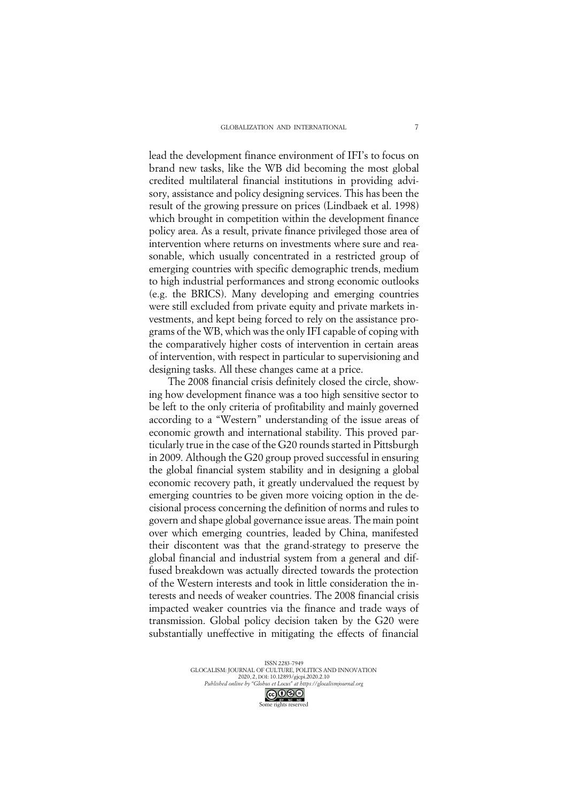lead the development finance environment of IFI's to focus on brand new tasks, like the WB did becoming the most global credited multilateral financial institutions in providing advisory, assistance and policy designing services. This has been the result of the growing pressure on prices (Lindbaek et al. 1998) which brought in competition within the development finance policy area. As a result, private finance privileged those area of intervention where returns on investments where sure and reasonable, which usually concentrated in a restricted group of emerging countries with specific demographic trends, medium to high industrial performances and strong economic outlooks (e.g. the BRICS). Many developing and emerging countries were still excluded from private equity and private markets investments, and kept being forced to rely on the assistance programs of the WB, which was the only IFI capable of coping with the comparatively higher costs of intervention in certain areas of intervention, with respect in particular to supervisioning and designing tasks. All these changes came at a price.

The 2008 financial crisis definitely closed the circle, showing how development finance was a too high sensitive sector to be left to the only criteria of profitability and mainly governed according to a "Western" understanding of the issue areas of economic growth and international stability. This proved particularly true in the case of the G20 rounds started in Pittsburgh in 2009. Although the G20 group proved successful in ensuring the global financial system stability and in designing a global economic recovery path, it greatly undervalued the request by emerging countries to be given more voicing option in the decisional process concerning the definition of norms and rules to govern and shape global governance issue areas. The main point over which emerging countries, leaded by China, manifested their discontent was that the grand-strategy to preserve the global financial and industrial system from a general and diffused breakdown was actually directed towards the protection of the Western interests and took in little consideration the interests and needs of weaker countries. The 2008 financial crisis impacted weaker countries via the finance and trade ways of transmission. Global policy decision taken by the G20 were substantially uneffective in mitigating the effects of financial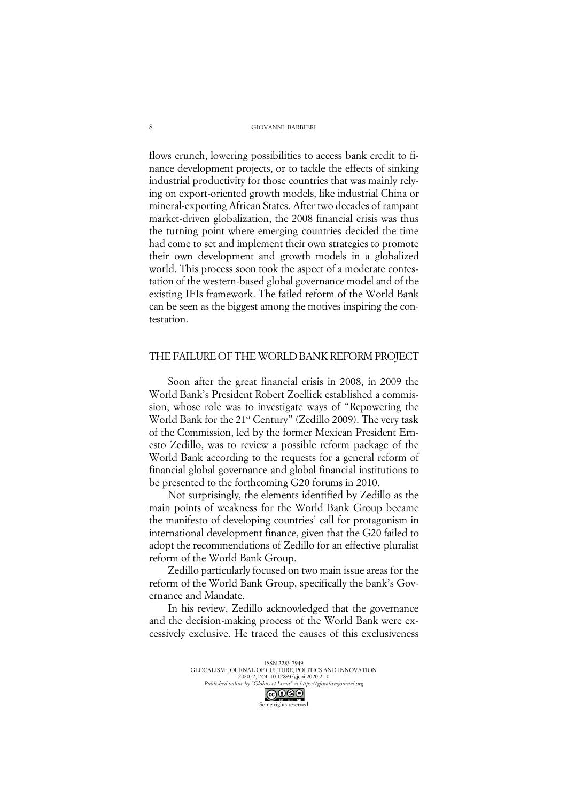flows crunch, lowering possibilities to access bank credit to finance development projects, or to tackle the effects of sinking industrial productivity for those countries that was mainly relying on export-oriented growth models, like industrial China or mineral-exporting African States. After two decades of rampant market-driven globalization, the 2008 financial crisis was thus the turning point where emerging countries decided the time had come to set and implement their own strategies to promote their own development and growth models in a globalized world. This process soon took the aspect of a moderate contestation of the western-based global governance model and of the existing IFIs framework. The failed reform of the World Bank can be seen as the biggest among the motives inspiring the contestation.

### THE FAILURE OF THE WORLD BANK REFORM PROJECT

Soon after the great financial crisis in 2008, in 2009 the World Bank's President Robert Zoellick established a commission, whose role was to investigate ways of "Repowering the World Bank for the 21<sup>st</sup> Century" (Zedillo 2009). The very task of the Commission, led by the former Mexican President Ernesto Zedillo, was to review a possible reform package of the World Bank according to the requests for a general reform of financial global governance and global financial institutions to be presented to the forthcoming G20 forums in 2010.

Not surprisingly, the elements identified by Zedillo as the main points of weakness for the World Bank Group became the manifesto of developing countries' call for protagonism in international development finance, given that the G20 failed to adopt the recommendations of Zedillo for an effective pluralist reform of the World Bank Group.

Zedillo particularly focused on two main issue areas for the reform of the World Bank Group, specifically the bank's Governance and Mandate.

In his review, Zedillo acknowledged that the governance and the decision-making process of the World Bank were excessively exclusive. He traced the causes of this exclusiveness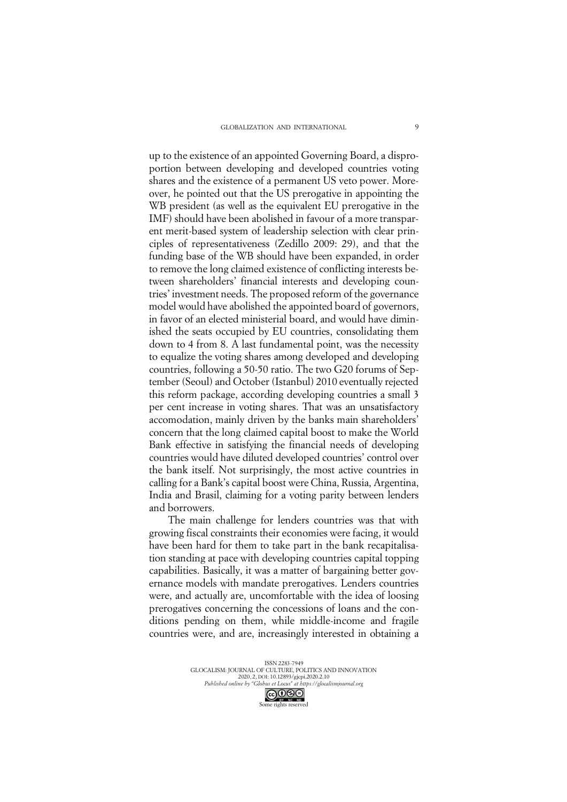up to the existence of an appointed Governing Board, a disproportion between developing and developed countries voting shares and the existence of a permanent US veto power. Moreover, he pointed out that the US prerogative in appointing the WB president (as well as the equivalent EU prerogative in the IMF) should have been abolished in favour of a more transparent merit-based system of leadership selection with clear principles of representativeness (Zedillo 2009: 29), and that the funding base of the WB should have been expanded, in order to remove the long claimed existence of conflicting interests between shareholders' financial interests and developing countries' investment needs. The proposed reform of the governance model would have abolished the appointed board of governors, in favor of an elected ministerial board, and would have diminished the seats occupied by EU countries, consolidating them down to 4 from 8. A last fundamental point, was the necessity to equalize the voting shares among developed and developing countries, following a 50-50 ratio. The two G20 forums of September (Seoul) and October (Istanbul) 2010 eventually rejected this reform package, according developing countries a small 3 per cent increase in voting shares. That was an unsatisfactory accomodation, mainly driven by the banks main shareholders' concern that the long claimed capital boost to make the World Bank effective in satisfying the financial needs of developing countries would have diluted developed countries' control over the bank itself. Not surprisingly, the most active countries in calling for a Bank's capital boost were China, Russia, Argentina, India and Brasil, claiming for a voting parity between lenders and borrowers.

The main challenge for lenders countries was that with growing fiscal constraints their economies were facing, it would have been hard for them to take part in the bank recapitalisation standing at pace with developing countries capital topping capabilities. Basically, it was a matter of bargaining better governance models with mandate prerogatives. Lenders countries were, and actually are, uncomfortable with the idea of loosing prerogatives concerning the concessions of loans and the conditions pending on them, while middle-income and fragile countries were, and are, increasingly interested in obtaining a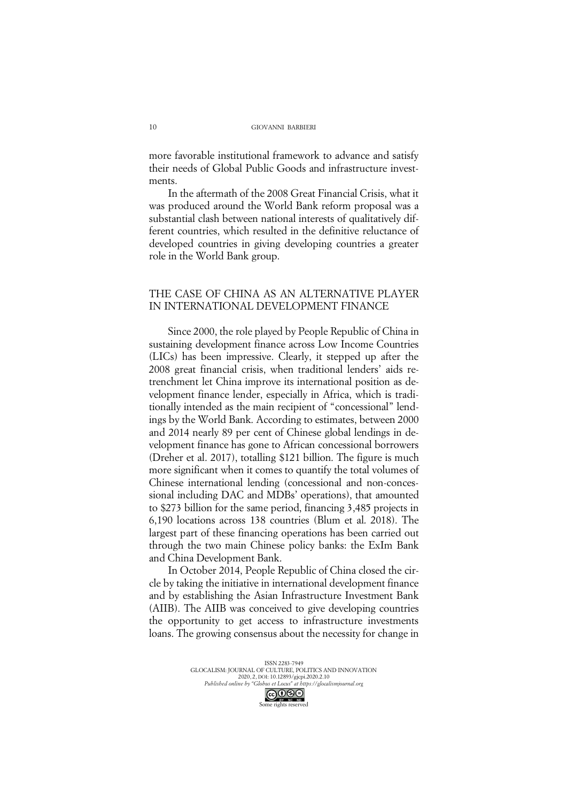more favorable institutional framework to advance and satisfy their needs of Global Public Goods and infrastructure investments.

In the aftermath of the 2008 Great Financial Crisis, what it was produced around the World Bank reform proposal was a substantial clash between national interests of qualitatively different countries, which resulted in the definitive reluctance of developed countries in giving developing countries a greater role in the World Bank group.

# THE CASE OF CHINA AS AN ALTERNATIVE PLAYER IN INTERNATIONAL DEVELOPMENT FINANCE

Since 2000, the role played by People Republic of China in sustaining development finance across Low Income Countries (LICs) has been impressive. Clearly, it stepped up after the 2008 great financial crisis, when traditional lenders' aids retrenchment let China improve its international position as development finance lender, especially in Africa, which is traditionally intended as the main recipient of "concessional" lendings by the World Bank. According to estimates, between 2000 and 2014 nearly 89 per cent of Chinese global lendings in development finance has gone to African concessional borrowers (Dreher et al. 2017), totalling \$121 billion. The figure is much more significant when it comes to quantify the total volumes of Chinese international lending (concessional and non-concessional including DAC and MDBs' operations), that amounted to \$273 billion for the same period, financing 3,485 projects in 6,190 locations across 138 countries (Blum et al. 2018). The largest part of these financing operations has been carried out through the two main Chinese policy banks: the ExIm Bank and China Development Bank.

In October 2014, People Republic of China closed the circle by taking the initiative in international development finance and by establishing the Asian Infrastructure Investment Bank (AIIB). The AIIB was conceived to give developing countries the opportunity to get access to infrastructure investments loans. The growing consensus about the necessity for change in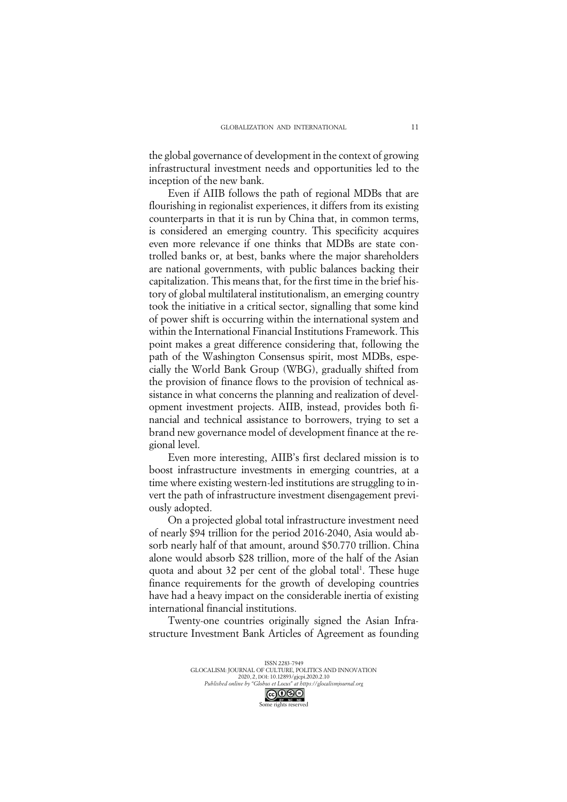the global governance of development in the context of growing infrastructural investment needs and opportunities led to the inception of the new bank.

Even if AIIB follows the path of regional MDBs that are flourishing in regionalist experiences, it differs from its existing counterparts in that it is run by China that, in common terms, is considered an emerging country. This specificity acquires even more relevance if one thinks that MDBs are state controlled banks or, at best, banks where the major shareholders are national governments, with public balances backing their capitalization. This means that, for the first time in the brief history of global multilateral institutionalism, an emerging country took the initiative in a critical sector, signalling that some kind of power shift is occurring within the international system and within the International Financial Institutions Framework. This point makes a great difference considering that, following the path of the Washington Consensus spirit, most MDBs, especially the World Bank Group (WBG), gradually shifted from the provision of finance flows to the provision of technical assistance in what concerns the planning and realization of development investment projects. AIIB, instead, provides both financial and technical assistance to borrowers, trying to set a brand new governance model of development finance at the regional level.

Even more interesting, AIIB's first declared mission is to boost infrastructure investments in emerging countries, at a time where existing western-led institutions are struggling to invert the path of infrastructure investment disengagement previously adopted.

On a projected global total infrastructure investment need of nearly \$94 trillion for the period 2016-2040, Asia would absorb nearly half of that amount, around \$50.770 trillion. China alone would absorb \$28 trillion, more of the half of the Asian quota and about 32 per cent of the global total<sup>1</sup>. These huge finance requirements for the growth of developing countries have had a heavy impact on the considerable inertia of existing international financial institutions.

Twenty-one countries originally signed the Asian Infrastructure Investment Bank Articles of Agreement as founding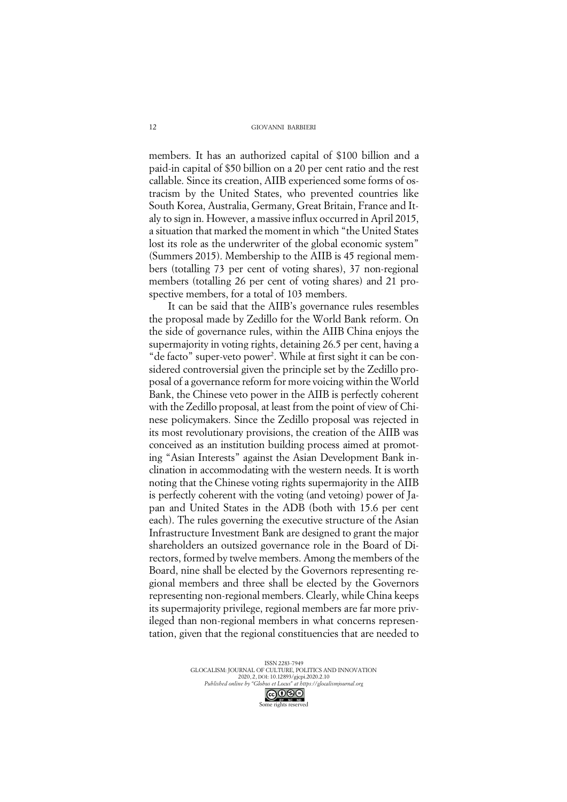members. It has an authorized capital of \$100 billion and a paid-in capital of \$50 billion on a 20 per cent ratio and the rest callable. Since its creation, AIIB experienced some forms of ostracism by the United States, who prevented countries like South Korea, Australia, Germany, Great Britain, France and Italy to sign in. However, a massive influx occurred in April 2015, a situation that marked the moment in which "the United States lost its role as the underwriter of the global economic system" (Summers 2015). Membership to the AIIB is 45 regional members (totalling 73 per cent of voting shares), 37 non-regional members (totalling 26 per cent of voting shares) and 21 prospective members, for a total of 103 members.

It can be said that the AIIB's governance rules resembles the proposal made by Zedillo for the World Bank reform. On the side of governance rules, within the AIIB China enjoys the supermajority in voting rights, detaining 26.5 per cent, having a "de facto" super-veto power<sup>2</sup>. While at first sight it can be considered controversial given the principle set by the Zedillo proposal of a governance reform for more voicing within the World Bank, the Chinese veto power in the AIIB is perfectly coherent with the Zedillo proposal, at least from the point of view of Chinese policymakers. Since the Zedillo proposal was rejected in its most revolutionary provisions, the creation of the AIIB was conceived as an institution building process aimed at promoting "Asian Interests" against the Asian Development Bank inclination in accommodating with the western needs. It is worth noting that the Chinese voting rights supermajority in the AIIB is perfectly coherent with the voting (and vetoing) power of Japan and United States in the ADB (both with 15.6 per cent each). The rules governing the executive structure of the Asian Infrastructure Investment Bank are designed to grant the major shareholders an outsized governance role in the Board of Directors, formed by twelve members. Among the members of the Board, nine shall be elected by the Governors representing regional members and three shall be elected by the Governors representing non-regional members. Clearly, while China keeps its supermajority privilege, regional members are far more privileged than non-regional members in what concerns representation, given that the regional constituencies that are needed to

> ISSN 2283-7949 GLOCALISM: JOURNAL OF CULTURE, POLITICS AND INNOVATION 2020, 2, DOI: 10.12893/gjcpi.2020.2.10 *Published online by "Globus et Locus" at https://glocalismjournal.org*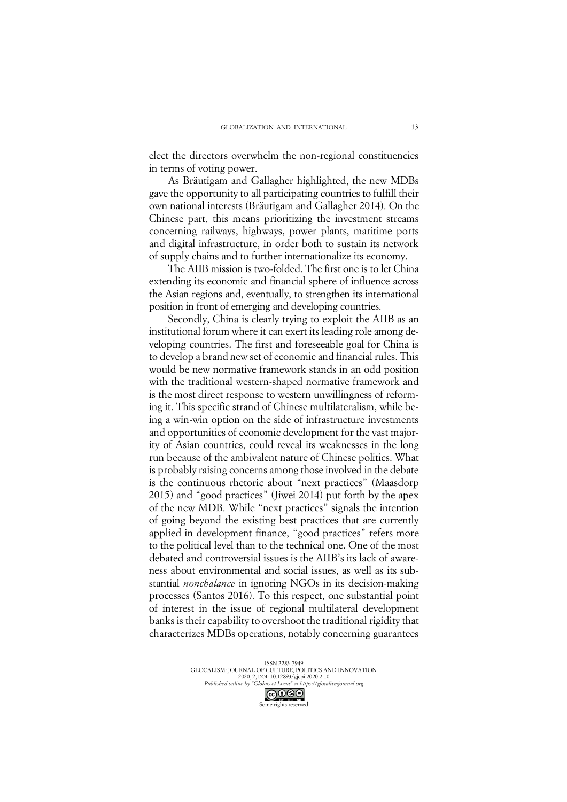elect the directors overwhelm the non-regional constituencies in terms of voting power.

As Bräutigam and Gallagher highlighted, the new MDBs gave the opportunity to all participating countries to fulfill their own national interests (Bräutigam and Gallagher 2014). On the Chinese part, this means prioritizing the investment streams concerning railways, highways, power plants, maritime ports and digital infrastructure, in order both to sustain its network of supply chains and to further internationalize its economy.

The AIIB mission is two-folded. The first one is to let China extending its economic and financial sphere of influence across the Asian regions and, eventually, to strengthen its international position in front of emerging and developing countries.

Secondly, China is clearly trying to exploit the AIIB as an institutional forum where it can exert its leading role among developing countries. The first and foreseeable goal for China is to develop a brand new set of economic and financial rules. This would be new normative framework stands in an odd position with the traditional western-shaped normative framework and is the most direct response to western unwillingness of reforming it. This specific strand of Chinese multilateralism, while being a win-win option on the side of infrastructure investments and opportunities of economic development for the vast majority of Asian countries, could reveal its weaknesses in the long run because of the ambivalent nature of Chinese politics. What is probably raising concerns among those involved in the debate is the continuous rhetoric about "next practices" (Maasdorp 2015) and "good practices" (Jiwei 2014) put forth by the apex of the new MDB. While "next practices" signals the intention of going beyond the existing best practices that are currently applied in development finance, "good practices" refers more to the political level than to the technical one. One of the most debated and controversial issues is the AIIB's its lack of awareness about environmental and social issues, as well as its substantial *nonchalance* in ignoring NGOs in its decision-making processes (Santos 2016). To this respect, one substantial point of interest in the issue of regional multilateral development banks is their capability to overshoot the traditional rigidity that characterizes MDBs operations, notably concerning guarantees

> ISSN 2283-7949 GLOCALISM: JOURNAL OF CULTURE, POLITICS AND INNOVATION 2020, 2, DOI: 10.12893/gjcpi.2020.2.10 *Published online by "Globus et Locus" at https://glocalismjournal.org*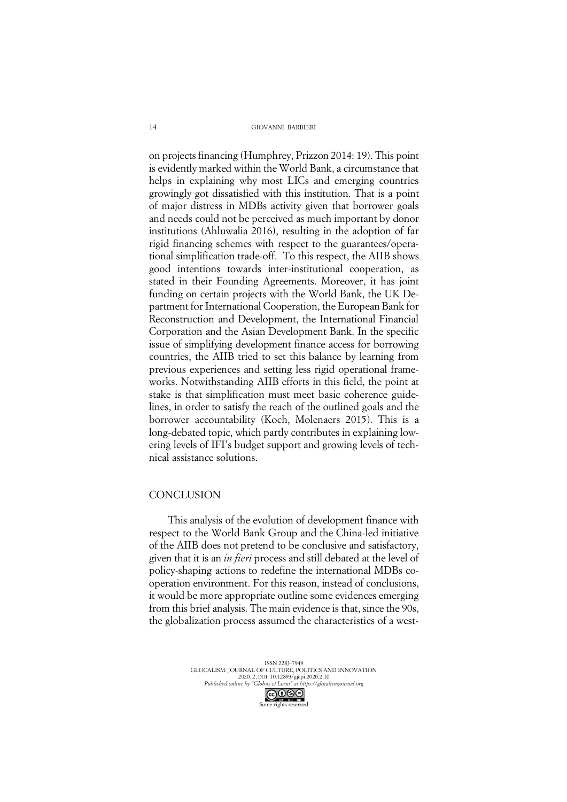on projects financing (Humphrey, Prizzon 2014: 19). This point is evidently marked within the World Bank, a circumstance that helps in explaining why most LICs and emerging countries growingly got dissatisfied with this institution. That is a point of major distress in MDBs activity given that borrower goals and needs could not be perceived as much important by donor institutions (Ahluwalia 2016), resulting in the adoption of far rigid financing schemes with respect to the guarantees/operational simplification trade-off. To this respect, the AIIB shows good intentions towards inter-institutional cooperation, as stated in their Founding Agreements. Moreover, it has joint funding on certain projects with the World Bank, the UK Department for International Cooperation, the European Bank for Reconstruction and Development, the International Financial Corporation and the Asian Development Bank. In the specific issue of simplifying development finance access for borrowing countries, the AIIB tried to set this balance by learning from previous experiences and setting less rigid operational frameworks. Notwithstanding AIIB efforts in this field, the point at stake is that simplification must meet basic coherence guidelines, in order to satisfy the reach of the outlined goals and the borrower accountability (Koch, Molenaers 2015). This is a long-debated topic, which partly contributes in explaining lowering levels of IFI's budget support and growing levels of technical assistance solutions.

### **CONCLUSION**

This analysis of the evolution of development finance with respect to the World Bank Group and the China-led initiative of the AIIB does not pretend to be conclusive and satisfactory, given that it is an *in fieri* process and still debated at the level of policy-shaping actions to redefine the international MDBs cooperation environment. For this reason, instead of conclusions, it would be more appropriate outline some evidences emerging from this brief analysis. The main evidence is that, since the 90s, the globalization process assumed the characteristics of a west-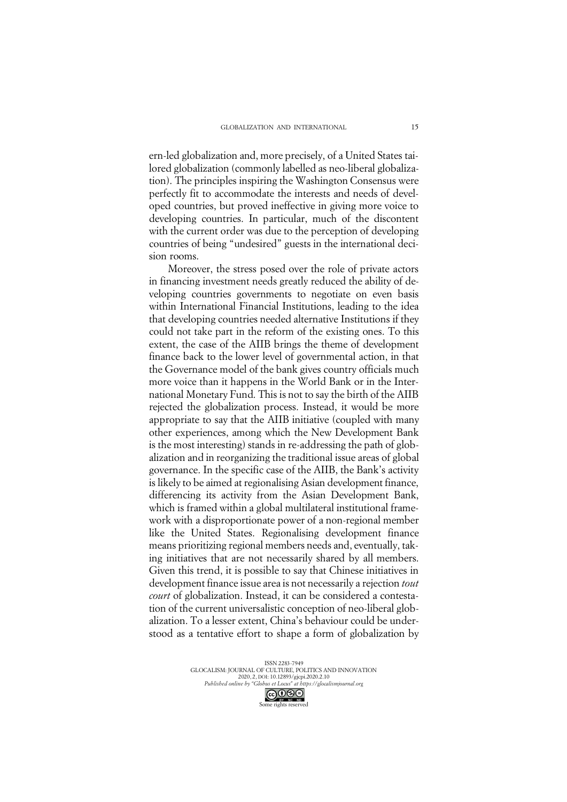ern-led globalization and, more precisely, of a United States tailored globalization (commonly labelled as neo-liberal globalization). The principles inspiring the Washington Consensus were perfectly fit to accommodate the interests and needs of developed countries, but proved ineffective in giving more voice to developing countries. In particular, much of the discontent with the current order was due to the perception of developing countries of being "undesired" guests in the international decision rooms.

Moreover, the stress posed over the role of private actors in financing investment needs greatly reduced the ability of developing countries governments to negotiate on even basis within International Financial Institutions, leading to the idea that developing countries needed alternative Institutions if they could not take part in the reform of the existing ones. To this extent, the case of the AIIB brings the theme of development finance back to the lower level of governmental action, in that the Governance model of the bank gives country officials much more voice than it happens in the World Bank or in the International Monetary Fund. This is not to say the birth of the AIIB rejected the globalization process. Instead, it would be more appropriate to say that the AIIB initiative (coupled with many other experiences, among which the New Development Bank is the most interesting) stands in re-addressing the path of globalization and in reorganizing the traditional issue areas of global governance. In the specific case of the AIIB, the Bank's activity is likely to be aimed at regionalising Asian development finance, differencing its activity from the Asian Development Bank, which is framed within a global multilateral institutional framework with a disproportionate power of a non-regional member like the United States. Regionalising development finance means prioritizing regional members needs and, eventually, taking initiatives that are not necessarily shared by all members. Given this trend, it is possible to say that Chinese initiatives in development finance issue area is not necessarily a rejection *tout court* of globalization. Instead, it can be considered a contestation of the current universalistic conception of neo-liberal globalization. To a lesser extent, China's behaviour could be understood as a tentative effort to shape a form of globalization by

> ISSN 2283-7949 GLOCALISM: JOURNAL OF CULTURE, POLITICS AND INNOVATION 2020, 2, DOI: 10.12893/gjcpi.2020.2.10 *Published online by "Globus et Locus" at https://glocalismjournal.org*

> > Some rights reserved

15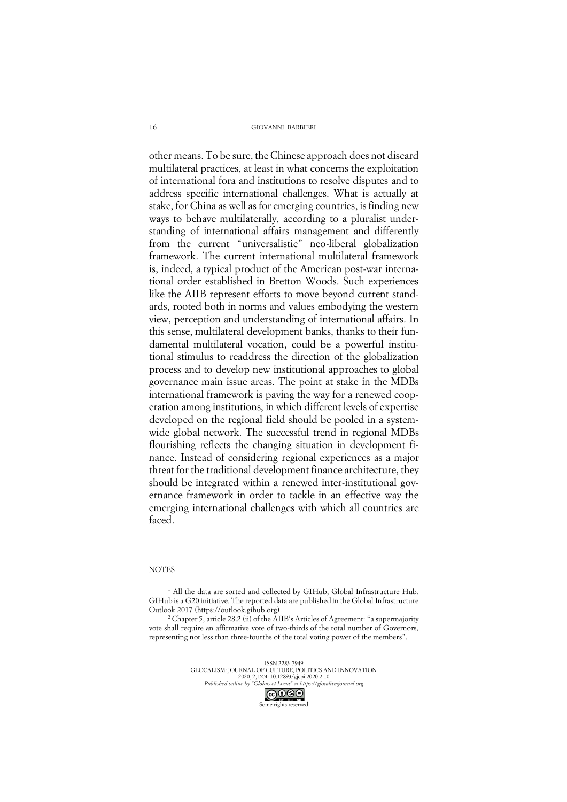other means. To be sure, the Chinese approach does not discard multilateral practices, at least in what concerns the exploitation of international fora and institutions to resolve disputes and to address specific international challenges. What is actually at stake, for China as well as for emerging countries, is finding new ways to behave multilaterally, according to a pluralist understanding of international affairs management and differently from the current "universalistic" neo-liberal globalization framework. The current international multilateral framework is, indeed, a typical product of the American post-war international order established in Bretton Woods. Such experiences like the AIIB represent efforts to move beyond current standards, rooted both in norms and values embodying the western view, perception and understanding of international affairs. In this sense, multilateral development banks, thanks to their fundamental multilateral vocation, could be a powerful institutional stimulus to readdress the direction of the globalization process and to develop new institutional approaches to global governance main issue areas. The point at stake in the MDBs international framework is paving the way for a renewed cooperation among institutions, in which different levels of expertise developed on the regional field should be pooled in a systemwide global network. The successful trend in regional MDBs flourishing reflects the changing situation in development finance. Instead of considering regional experiences as a major threat for the traditional development finance architecture, they should be integrated within a renewed inter-institutional governance framework in order to tackle in an effective way the emerging international challenges with which all countries are faced.

### **NOTES**

<sup>1</sup> All the data are sorted and collected by GIHub, Global Infrastructure Hub. GIHub is a G20 initiative. The reported data are published in the Global Infrastructure Outlook 2017 (https://outlook.gihub.org).

<sup>2</sup> Chapter 5, article 28.2 (ii) of the AIIB's Articles of Agreement: "a supermajority vote shall require an affirmative vote of two-thirds of the total number of Governors, representing not less than three-fourths of the total voting power of the members".

> ISSN 2283-7949 GLOCALISM: JOURNAL OF CULTURE, POLITICS AND INNOVATION 2020, 2, DOI: 10.12893/gjcpi.2020.2.10 *Published online by "Globus et Locus" at https://glocalismjournal.org*